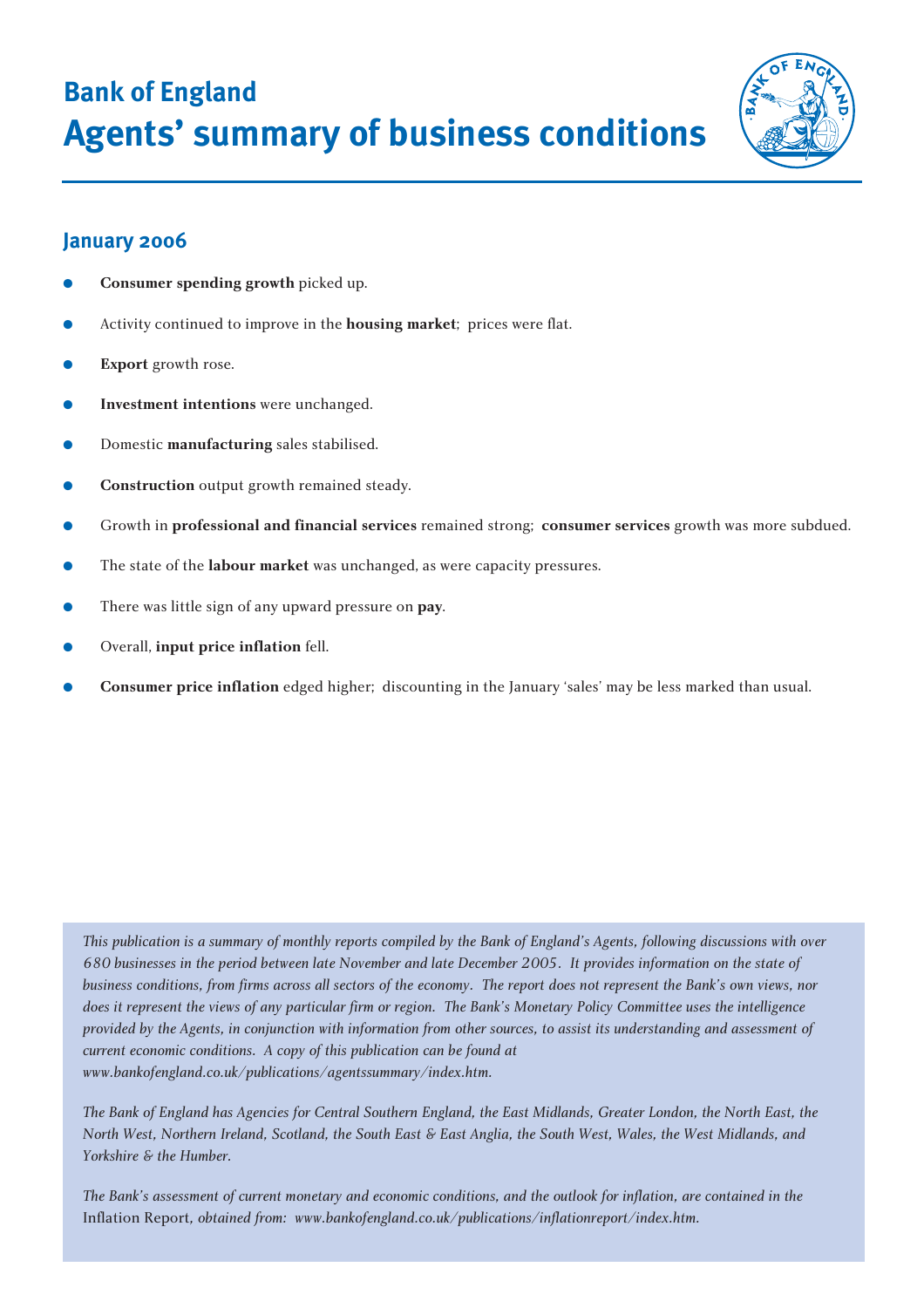**Bank of England Agents' summary of business conditions**



# **January 2006**

- **Consumer spending growth** picked up.
- Activity continued to improve in the **housing market**; prices were flat.
- **Export** growth rose.
- **Investment intentions** were unchanged.
- Domestic **manufacturing** sales stabilised.
- **Construction** output growth remained steady.
- Growth in **professional and financial services** remained strong; **consumer services** growth was more subdued.
- The state of the **labour market** was unchanged, as were capacity pressures.
- There was little sign of any upward pressure on **pay**.
- Overall, **input price inflation** fell.
- **Consumer price inflation** edged higher; discounting in the January 'sales' may be less marked than usual.

*This publication is a summary of monthly reports compiled by the Bank of England's Agents, following discussions with over 680 businesses in the period between late November and late December 2005. It provides information on the state of business conditions, from firms across all sectors of the economy. The report does not represent the Bank's own views, nor does it represent the views of any particular firm or region. The Bank's Monetary Policy Committee uses the intelligence provided by the Agents, in conjunction with information from other sources, to assist its understanding and assessment of current economic conditions. A copy of this publication can be found at www.bankofengland.co.uk/publications/agentssummary/index.htm.*

*The Bank of England has Agencies for Central Southern England, the East Midlands, Greater London, the North East, the North West, Northern Ireland, Scotland, the South East & East Anglia, the South West, Wales, the West Midlands, and Yorkshire & the Humber.*

*The Bank's assessment of current monetary and economic conditions, and the outlook for inflation, are contained in the* Inflation Report*, obtained from: www.bankofengland.co.uk/publications/inflationreport/index.htm.*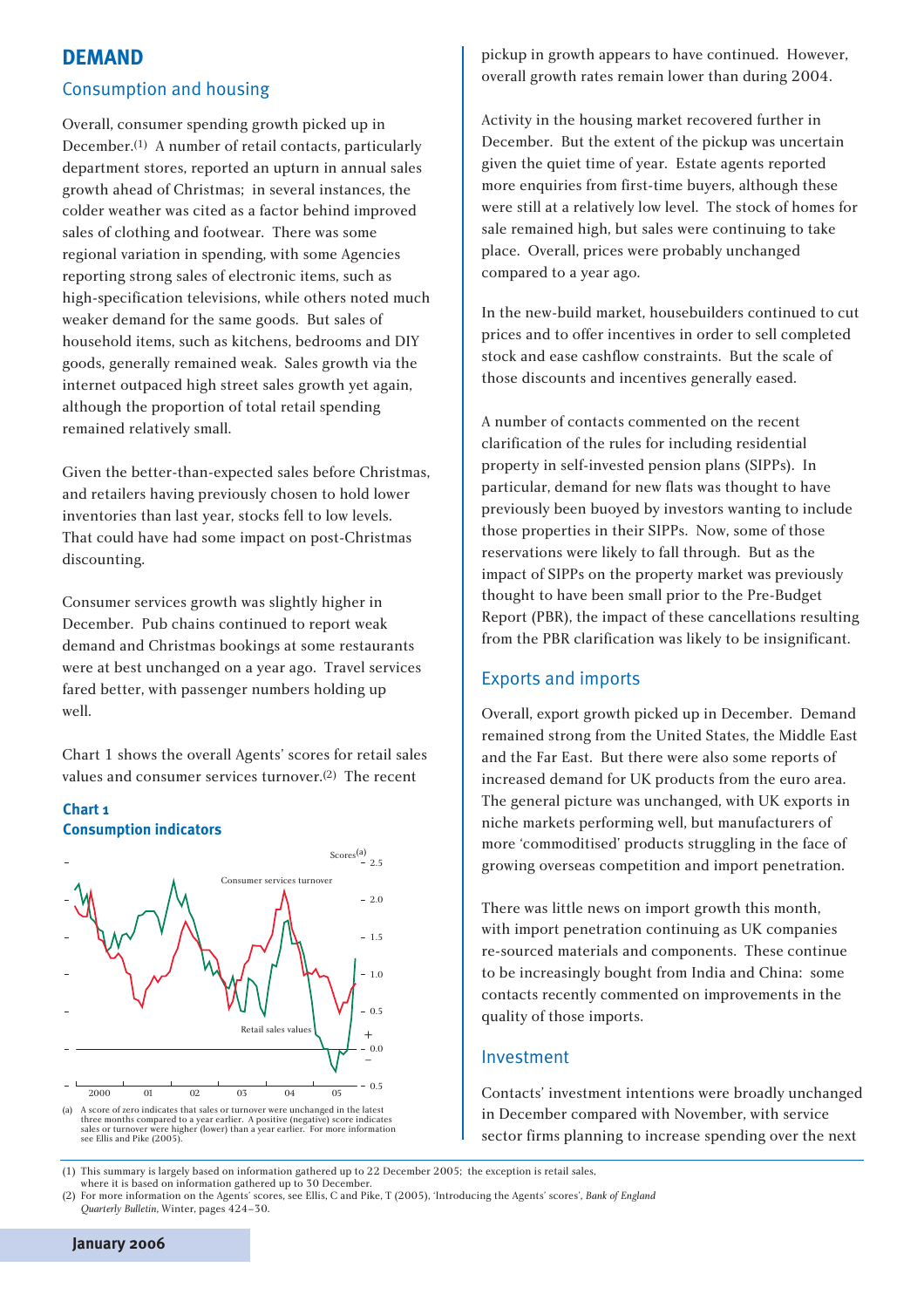## **DEMAND**

### Consumption and housing

Overall, consumer spending growth picked up in December.(1) A number of retail contacts, particularly department stores, reported an upturn in annual sales growth ahead of Christmas; in several instances, the colder weather was cited as a factor behind improved sales of clothing and footwear. There was some regional variation in spending, with some Agencies reporting strong sales of electronic items, such as high-specification televisions, while others noted much weaker demand for the same goods. But sales of household items, such as kitchens, bedrooms and DIY goods, generally remained weak. Sales growth via the internet outpaced high street sales growth yet again, although the proportion of total retail spending remained relatively small.

Given the better-than-expected sales before Christmas, and retailers having previously chosen to hold lower inventories than last year, stocks fell to low levels. That could have had some impact on post-Christmas discounting.

Consumer services growth was slightly higher in December. Pub chains continued to report weak demand and Christmas bookings at some restaurants were at best unchanged on a year ago. Travel services fared better, with passenger numbers holding up well.

Chart 1 shows the overall Agents' scores for retail sales values and consumer services turnover.(2) The recent

#### **Chart 1 Consumption indicators**



(a) A score of zero indicates that sales or turnover were unchanged in the latest<br>three months compared to a year earlier. A positive (negative) score indicates<br>sales or turnover were higher (lower) than a year earlier. Fo

pickup in growth appears to have continued. However, overall growth rates remain lower than during 2004.

Activity in the housing market recovered further in December. But the extent of the pickup was uncertain given the quiet time of year. Estate agents reported more enquiries from first-time buyers, although these were still at a relatively low level. The stock of homes for sale remained high, but sales were continuing to take place. Overall, prices were probably unchanged compared to a year ago.

In the new-build market, housebuilders continued to cut prices and to offer incentives in order to sell completed stock and ease cashflow constraints. But the scale of those discounts and incentives generally eased.

A number of contacts commented on the recent clarification of the rules for including residential property in self-invested pension plans (SIPPs). In particular, demand for new flats was thought to have previously been buoyed by investors wanting to include those properties in their SIPPs. Now, some of those reservations were likely to fall through. But as the impact of SIPPs on the property market was previously thought to have been small prior to the Pre-Budget Report (PBR), the impact of these cancellations resulting from the PBR clarification was likely to be insignificant.

### Exports and imports

Overall, export growth picked up in December. Demand remained strong from the United States, the Middle East and the Far East. But there were also some reports of increased demand for UK products from the euro area. The general picture was unchanged, with UK exports in niche markets performing well, but manufacturers of more 'commoditised' products struggling in the face of growing overseas competition and import penetration.

There was little news on import growth this month, with import penetration continuing as UK companies re-sourced materials and components. These continue to be increasingly bought from India and China: some contacts recently commented on improvements in the quality of those imports.

### Investment

Contacts' investment intentions were broadly unchanged in December compared with November, with service sector firms planning to increase spending over the next

(1) This summary is largely based on information gathered up to 22 December 2005; the exception is retail sales, where it is based on information gathered up to 30 December.

(2) For more information on the Agents' scores, see Ellis, C and Pike, T (2005), 'Introducing the Agents' scores', *Bank of England Quarterly Bulletin*, Winter, pages 424–30.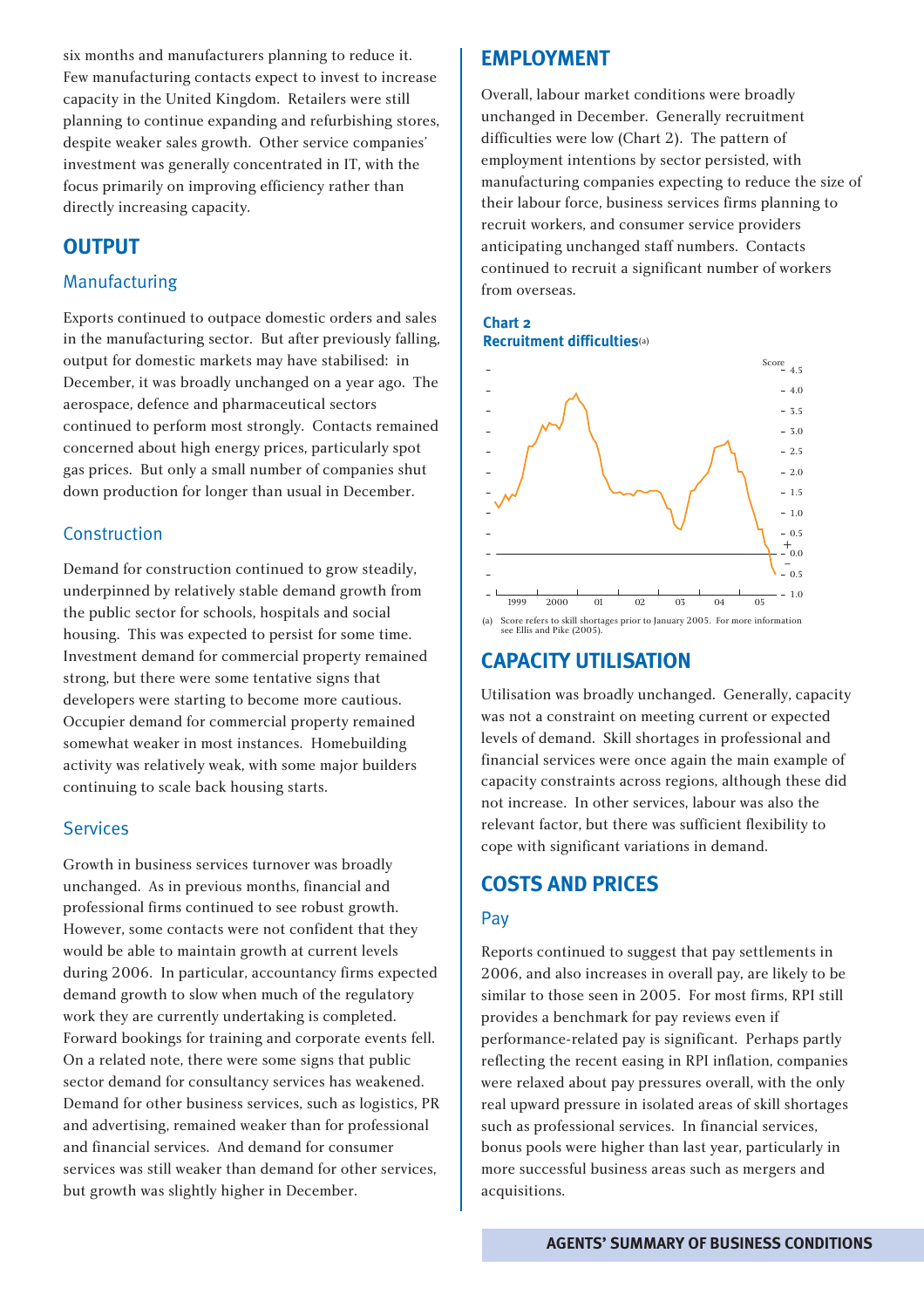six months and manufacturers planning to reduce it. Few manufacturing contacts expect to invest to increase capacity in the United Kingdom. Retailers were still planning to continue expanding and refurbishing stores, despite weaker sales growth. Other service companies' investment was generally concentrated in IT, with the focus primarily on improving efficiency rather than directly increasing capacity.

# **OUTPUT**

## Manufacturing

Exports continued to outpace domestic orders and sales in the manufacturing sector. But after previously falling, output for domestic markets may have stabilised: in December, it was broadly unchanged on a year ago. The aerospace, defence and pharmaceutical sectors continued to perform most strongly. Contacts remained concerned about high energy prices, particularly spot gas prices. But only a small number of companies shut down production for longer than usual in December.

## Construction

Demand for construction continued to grow steadily, underpinned by relatively stable demand growth from the public sector for schools, hospitals and social housing. This was expected to persist for some time. Investment demand for commercial property remained strong, but there were some tentative signs that developers were starting to become more cautious. Occupier demand for commercial property remained somewhat weaker in most instances. Homebuilding activity was relatively weak, with some major builders continuing to scale back housing starts.

### Services

Growth in business services turnover was broadly unchanged. As in previous months, financial and professional firms continued to see robust growth. However, some contacts were not confident that they would be able to maintain growth at current levels during 2006. In particular, accountancy firms expected demand growth to slow when much of the regulatory work they are currently undertaking is completed. Forward bookings for training and corporate events fell. On a related note, there were some signs that public sector demand for consultancy services has weakened. Demand for other business services, such as logistics, PR and advertising, remained weaker than for professional and financial services. And demand for consumer services was still weaker than demand for other services, but growth was slightly higher in December.

# **EMPLOYMENT**

Overall, labour market conditions were broadly unchanged in December. Generally recruitment difficulties were low (Chart 2). The pattern of employment intentions by sector persisted, with manufacturing companies expecting to reduce the size of their labour force, business services firms planning to recruit workers, and consumer service providers anticipating unchanged staff numbers. Contacts continued to recruit a significant number of workers from overseas.





# **CAPACITY UTILISATION**

Utilisation was broadly unchanged. Generally, capacity was not a constraint on meeting current or expected levels of demand. Skill shortages in professional and financial services were once again the main example of capacity constraints across regions, although these did not increase. In other services, labour was also the relevant factor, but there was sufficient flexibility to cope with significant variations in demand.

# **COSTS AND PRICES**

## Pay

Reports continued to suggest that pay settlements in 2006, and also increases in overall pay, are likely to be similar to those seen in 2005. For most firms, RPI still provides a benchmark for pay reviews even if performance-related pay is significant. Perhaps partly reflecting the recent easing in RPI inflation, companies were relaxed about pay pressures overall, with the only real upward pressure in isolated areas of skill shortages such as professional services. In financial services, bonus pools were higher than last year, particularly in more successful business areas such as mergers and acquisitions.